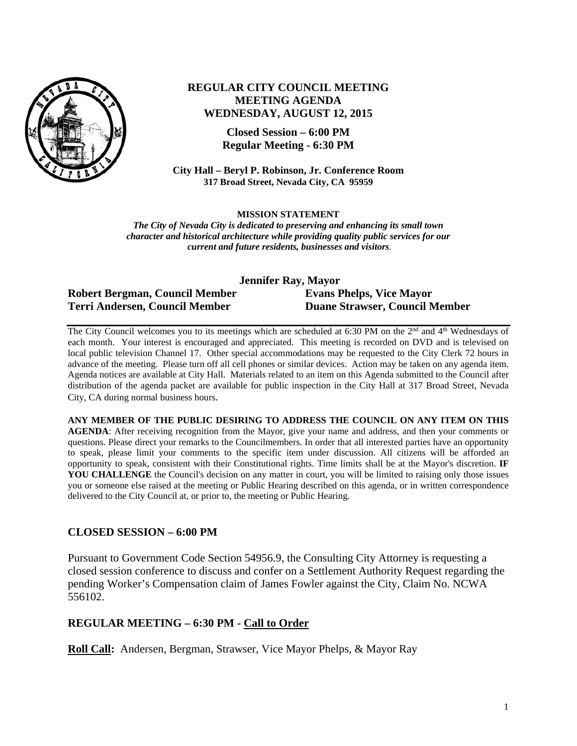

# **REGULAR CITY COUNCIL MEETING MEETING AGENDA WEDNESDAY, AUGUST 12, 2015**

**Closed Session – 6:00 PM Regular Meeting - 6:30 PM** 

**City Hall – Beryl P. Robinson, Jr. Conference Room 317 Broad Street, Nevada City, CA 95959**

#### **MISSION STATEMENT**

*The City of Nevada City is dedicated to preserving and enhancing its small town character and historical architecture while providing quality public services for our current and future residents, businesses and visitors.* 

| Jennifer Ray, Mayor                   |                                       |
|---------------------------------------|---------------------------------------|
| <b>Robert Bergman, Council Member</b> | <b>Evans Phelps, Vice Mayor</b>       |
| <b>Terri Andersen, Council Member</b> | <b>Duane Strawser, Council Member</b> |

The City Council welcomes you to its meetings which are scheduled at 6:30 PM on the 2<sup>nd</sup> and 4<sup>th</sup> Wednesdays of each month. Your interest is encouraged and appreciated. This meeting is recorded on DVD and is televised on local public television Channel 17. Other special accommodations may be requested to the City Clerk 72 hours in advance of the meeting. Please turn off all cell phones or similar devices. Action may be taken on any agenda item. Agenda notices are available at City Hall. Materials related to an item on this Agenda submitted to the Council after distribution of the agenda packet are available for public inspection in the City Hall at 317 Broad Street, Nevada City, CA during normal business hours.

**ANY MEMBER OF THE PUBLIC DESIRING TO ADDRESS THE COUNCIL ON ANY ITEM ON THIS AGENDA**: After receiving recognition from the Mayor, give your name and address, and then your comments or questions. Please direct your remarks to the Councilmembers. In order that all interested parties have an opportunity to speak, please limit your comments to the specific item under discussion. All citizens will be afforded an opportunity to speak, consistent with their Constitutional rights. Time limits shall be at the Mayor's discretion. **IF**  YOU CHALLENGE the Council's decision on any matter in court, you will be limited to raising only those issues you or someone else raised at the meeting or Public Hearing described on this agenda, or in written correspondence delivered to the City Council at, or prior to, the meeting or Public Hearing.

### **CLOSED SESSION – 6:00 PM**

Pursuant to Government Code Section 54956.9, the Consulting City Attorney is requesting a closed session conference to discuss and confer on a Settlement Authority Request regarding the pending Worker's Compensation claim of James Fowler against the City, Claim No. NCWA 556102.

# **REGULAR MEETING – 6:30 PM - Call to Order**

**Roll Call:** Andersen, Bergman, Strawser, Vice Mayor Phelps, & Mayor Ray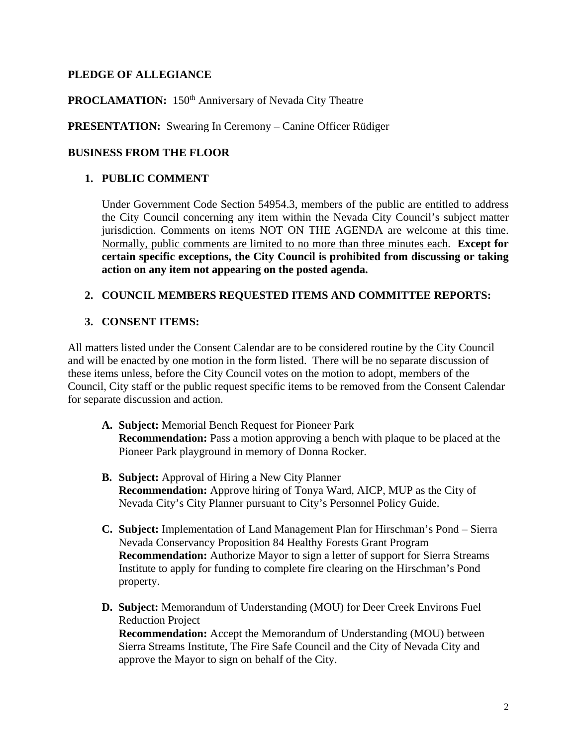# **PLEDGE OF ALLEGIANCE**

# **PROCLAMATION:** 150<sup>th</sup> Anniversary of Nevada City Theatre

# **PRESENTATION:** Swearing In Ceremony – Canine Officer Rüdiger

## **BUSINESS FROM THE FLOOR**

## **1. PUBLIC COMMENT**

Under Government Code Section 54954.3, members of the public are entitled to address the City Council concerning any item within the Nevada City Council's subject matter jurisdiction. Comments on items NOT ON THE AGENDA are welcome at this time. Normally, public comments are limited to no more than three minutes each. **Except for certain specific exceptions, the City Council is prohibited from discussing or taking action on any item not appearing on the posted agenda.** 

## **2. COUNCIL MEMBERS REQUESTED ITEMS AND COMMITTEE REPORTS:**

# **3. CONSENT ITEMS:**

All matters listed under the Consent Calendar are to be considered routine by the City Council and will be enacted by one motion in the form listed. There will be no separate discussion of these items unless, before the City Council votes on the motion to adopt, members of the Council, City staff or the public request specific items to be removed from the Consent Calendar for separate discussion and action.

- **A. Subject:** Memorial Bench Request for Pioneer Park **Recommendation:** Pass a motion approving a bench with plaque to be placed at the Pioneer Park playground in memory of Donna Rocker.
- **B. Subject:** Approval of Hiring a New City Planner **Recommendation:** Approve hiring of Tonya Ward, AICP, MUP as the City of Nevada City's City Planner pursuant to City's Personnel Policy Guide.
- **C. Subject:** Implementation of Land Management Plan for Hirschman's Pond Sierra Nevada Conservancy Proposition 84 Healthy Forests Grant Program **Recommendation:** Authorize Mayor to sign a letter of support for Sierra Streams Institute to apply for funding to complete fire clearing on the Hirschman's Pond property.
- **D. Subject:** Memorandum of Understanding (MOU) for Deer Creek Environs Fuel Reduction Project **Recommendation:** Accept the Memorandum of Understanding (MOU) between Sierra Streams Institute, The Fire Safe Council and the City of Nevada City and approve the Mayor to sign on behalf of the City.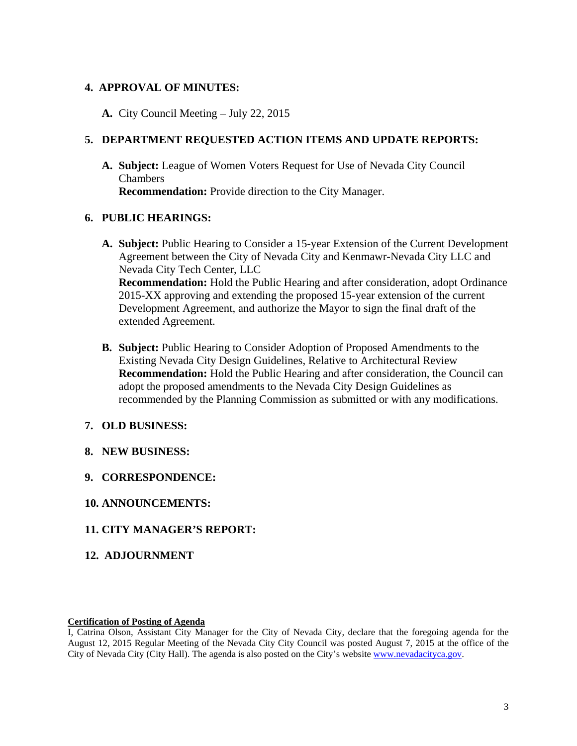## **4. APPROVAL OF MINUTES:**

**A.** City Council Meeting – July 22, 2015

## **5. DEPARTMENT REQUESTED ACTION ITEMS AND UPDATE REPORTS:**

**A. Subject:** League of Women Voters Request for Use of Nevada City Council Chambers **Recommendation:** Provide direction to the City Manager.

### **6. PUBLIC HEARINGS:**

- **A. Subject:** Public Hearing to Consider a 15-year Extension of the Current Development Agreement between the City of Nevada City and Kenmawr-Nevada City LLC and Nevada City Tech Center, LLC **Recommendation:** Hold the Public Hearing and after consideration, adopt Ordinance 2015-XX approving and extending the proposed 15-year extension of the current Development Agreement, and authorize the Mayor to sign the final draft of the extended Agreement.
- **B. Subject:** Public Hearing to Consider Adoption of Proposed Amendments to the Existing Nevada City Design Guidelines, Relative to Architectural Review **Recommendation:** Hold the Public Hearing and after consideration, the Council can adopt the proposed amendments to the Nevada City Design Guidelines as recommended by the Planning Commission as submitted or with any modifications.

# **7. OLD BUSINESS:**

- **8. NEW BUSINESS:**
- **9. CORRESPONDENCE:**
- **10. ANNOUNCEMENTS:**

### **11. CITY MANAGER'S REPORT:**

**12. ADJOURNMENT** 

### **Certification of Posting of Agenda**

I, Catrina Olson, Assistant City Manager for the City of Nevada City, declare that the foregoing agenda for the August 12, 2015 Regular Meeting of the Nevada City City Council was posted August 7, 2015 at the office of the City of Nevada City (City Hall). The agenda is also posted on the City's website www.nevadacityca.gov.